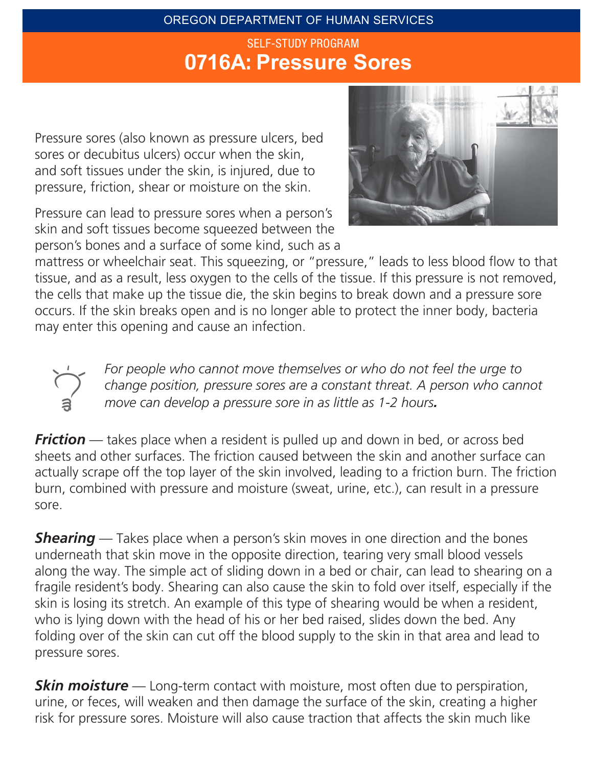### OREGON DEPARTMENT OF HUMAN SERVICES O7**16A**: **Pressure Sores** SELF-STUDY PROGRAM

Pressure sores (also known as pressure ulcers, bed sores or decubitus ulcers) occur when the skin, and soft tissues under the skin, is injured, due to pressure, friction, shear or moisture on the skin.

Pressure can lead to pressure sores when a person's skin and soft tissues become squeezed between the person's bones and a surface of some kind, such as a



mattress or wheelchair seat. This squeezing, or "pressure," leads to less blood flow to that tissue, and as a result, less oxygen to the cells of the tissue. If this pressure is not removed, the cells that make up the tissue die, the skin begins to break down and a pressure sore occurs. If the skin breaks open and is no longer able to protect the inner body, bacteria may enter this opening and cause an infection.



*For people who cannot move themselves or who do not feel the urge to change position, pressure sores are a constant threat. A person who cannot move can develop a pressure sore in as little as 1-2 hours.*

*Friction* — takes place when a resident is pulled up and down in bed, or across bed sheets and other surfaces. The friction caused between the skin and another surface can actually scrape off the top layer of the skin involved, leading to a friction burn. The friction burn, combined with pressure and moisture (sweat, urine, etc.), can result in a pressure sore.

**Shearing** — Takes place when a person's skin moves in one direction and the bones underneath that skin move in the opposite direction, tearing very small blood vessels along the way. The simple act of sliding down in a bed or chair, can lead to shearing on a fragile resident's body. Shearing can also cause the skin to fold over itself, especially if the skin is losing its stretch. An example of this type of shearing would be when a resident, who is lying down with the head of his or her bed raised, slides down the bed. Any folding over of the skin can cut off the blood supply to the skin in that area and lead to pressure sores.

*Skin moisture* — Long-term contact with moisture, most often due to perspiration, urine, or feces, will weaken and then damage the surface of the skin, creating a higher risk for pressure sores. Moisture will also cause traction that affects the skin much like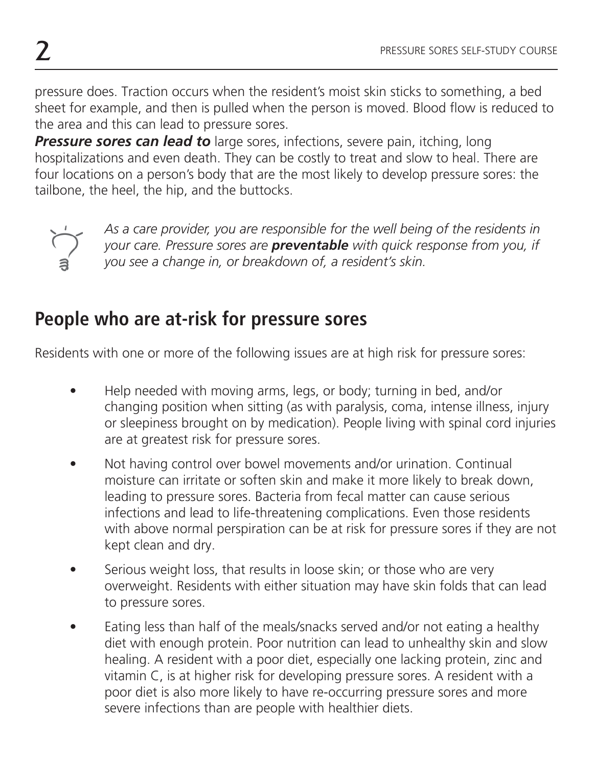pressure does. Traction occurs when the resident's moist skin sticks to something, a bed sheet for example, and then is pulled when the person is moved. Blood flow is reduced to the area and this can lead to pressure sores.

**Pressure sores can lead to** large sores, infections, severe pain, itching, long hospitalizations and even death. They can be costly to treat and slow to heal. There are four locations on a person's body that are the most likely to develop pressure sores: the tailbone, the heel, the hip, and the buttocks.



*As a care provider, you are responsible for the well being of the residents in your care. Pressure sores are preventable with quick response from you, if you see a change in, or breakdown of, a resident's skin.*

## **People who are at-risk for pressure sores**

Residents with one or more of the following issues are at high risk for pressure sores:

- Help needed with moving arms, legs, or body; turning in bed, and/or changing position when sitting (as with paralysis, coma, intense illness, injury or sleepiness brought on by medication). People living with spinal cord injuries are at greatest risk for pressure sores.
- Not having control over bowel movements and/or urination. Continual moisture can irritate or soften skin and make it more likely to break down, leading to pressure sores. Bacteria from fecal matter can cause serious infections and lead to life-threatening complications. Even those residents with above normal perspiration can be at risk for pressure sores if they are not kept clean and dry.
- Serious weight loss, that results in loose skin; or those who are very overweight. Residents with either situation may have skin folds that can lead to pressure sores.
- Eating less than half of the meals/snacks served and/or not eating a healthy diet with enough protein. Poor nutrition can lead to unhealthy skin and slow healing. A resident with a poor diet, especially one lacking protein, zinc and vitamin C, is at higher risk for developing pressure sores. A resident with a poor diet is also more likely to have re-occurring pressure sores and more severe infections than are people with healthier diets.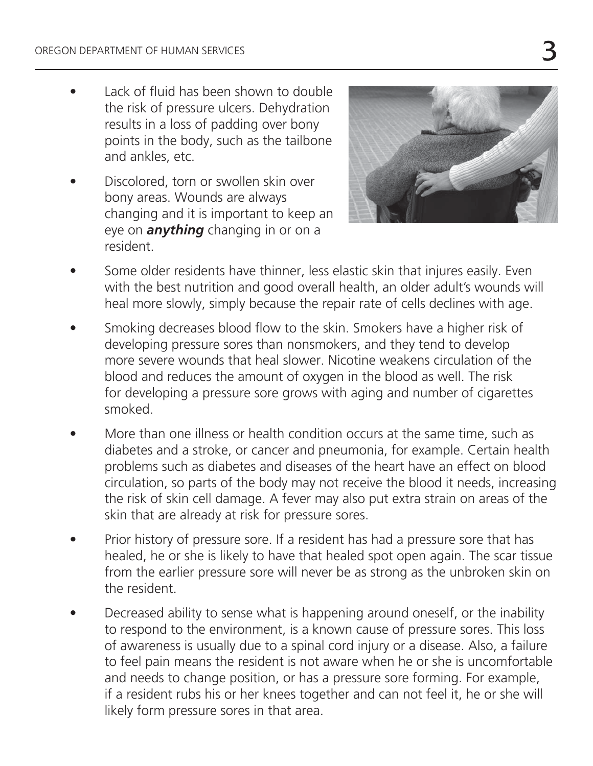- $\bullet$  Lack of fluid has been shown to double the risk of pressure ulcers. Dehydration results in a loss of padding over bony points in the body, such as the tailbone and ankles, etc.
- Discolored, torn or swollen skin over bony areas. Wounds are always changing and it is important to keep an eye on *anything* changing in or on a resident.



- Some older residents have thinner, less elastic skin that injures easily. Even with the best nutrition and good overall health, an older adult's wounds will heal more slowly, simply because the repair rate of cells declines with age.
- Smoking decreases blood flow to the skin. Smokers have a higher risk of developing pressure sores than nonsmokers, and they tend to develop more severe wounds that heal slower. Nicotine weakens circulation of the blood and reduces the amount of oxygen in the blood as well. The risk for developing a pressure sore grows with aging and number of cigarettes smoked.
- More than one illness or health condition occurs at the same time, such as diabetes and a stroke, or cancer and pneumonia, for example. Certain health problems such as diabetes and diseases of the heart have an effect on blood circulation, so parts of the body may not receive the blood it needs, increasing the risk of skin cell damage. A fever may also put extra strain on areas of the skin that are already at risk for pressure sores.
- Prior history of pressure sore. If a resident has had a pressure sore that has healed, he or she is likely to have that healed spot open again. The scar tissue from the earlier pressure sore will never be as strong as the unbroken skin on the resident.
- Decreased ability to sense what is happening around oneself, or the inability to respond to the environment, is a known cause of pressure sores. This loss of awareness is usually due to a spinal cord injury or a disease. Also, a failure to feel pain means the resident is not aware when he or she is uncomfortable and needs to change position, or has a pressure sore forming. For example, if a resident rubs his or her knees together and can not feel it, he or she will likely form pressure sores in that area.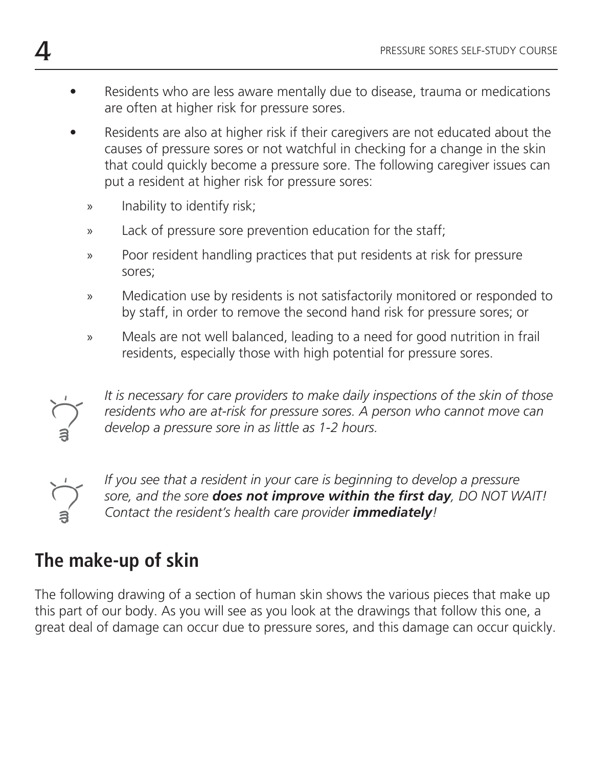- Residents who are less aware mentally due to disease, trauma or medications are often at higher risk for pressure sores.
- Residents are also at higher risk if their caregivers are not educated about the causes of pressure sores or not watchful in checking for a change in the skin that could quickly become a pressure sore. The following caregiver issues can put a resident at higher risk for pressure sores:
	- » Inability to identify risk;
	- » Lack of pressure sore prevention education for the staff;
	- » Poor resident handling practices that put residents at risk for pressure sores;
	- » Medication use by residents is not satisfactorily monitored or responded to by staff, in order to remove the second hand risk for pressure sores; or
	- » Meals are not well balanced, leading to a need for good nutrition in frail residents, especially those with high potential for pressure sores.



*It is necessary for care providers to make daily inspections of the skin of those residents who are at-risk for pressure sores. A person who cannot move can develop a pressure sore in as little as 1-2 hours.*



If you see that a resident in your care is beginning to develop a pressure sore, and the sore **does not improve within the first day**, DO NOT WAIT! *Contact the resident's health care provider immediately!* 

# **The make-up of skin**

The following drawing of a section of human skin shows the various pieces that make up this part of our body. As you will see as you look at the drawings that follow this one, a great deal of damage can occur due to pressure sores, and this damage can occur quickly.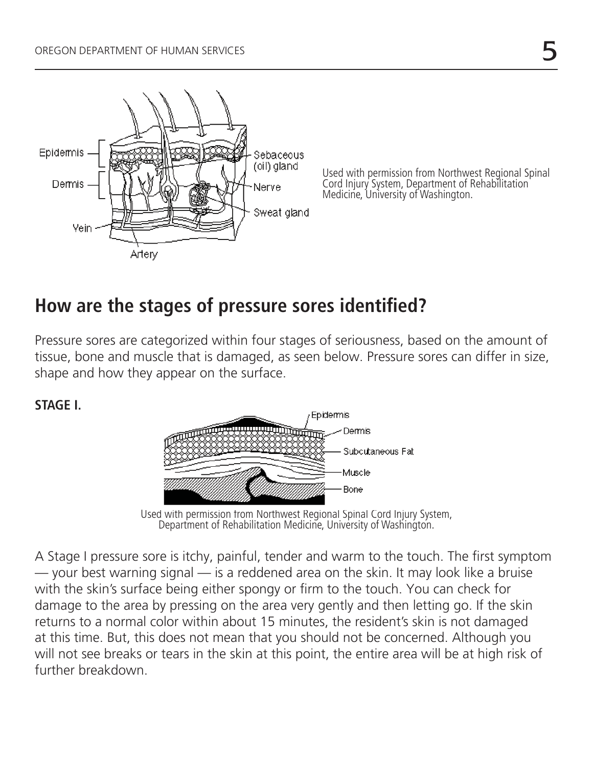

Used with permission from Northwest Regional Spinal Cord Injury System, Department of Rehabilitation Medicine, University of Washington.

## How are the stages of pressure sores identified?

Pressure sores are categorized within four stages of seriousness, based on the amount of tissue, bone and muscle that is damaged, as seen below. Pressure sores can differ in size, shape and how they appear on the surface.

**STAGE I.** 



Used with permission from Northwest Regional Spinal Cord Injury System, Department of Rehabilitation Medicine, University of Washington.

A Stage I pressure sore is itchy, painful, tender and warm to the touch. The first symptom — your best warning signal — is a reddened area on the skin. It may look like a bruise with the skin's surface being either spongy or firm to the touch. You can check for damage to the area by pressing on the area very gently and then letting go. If the skin returns to a normal color within about 15 minutes, the resident's skin is not damaged at this time. But, this does not mean that you should not be concerned. Although you will not see breaks or tears in the skin at this point, the entire area will be at high risk of further breakdown.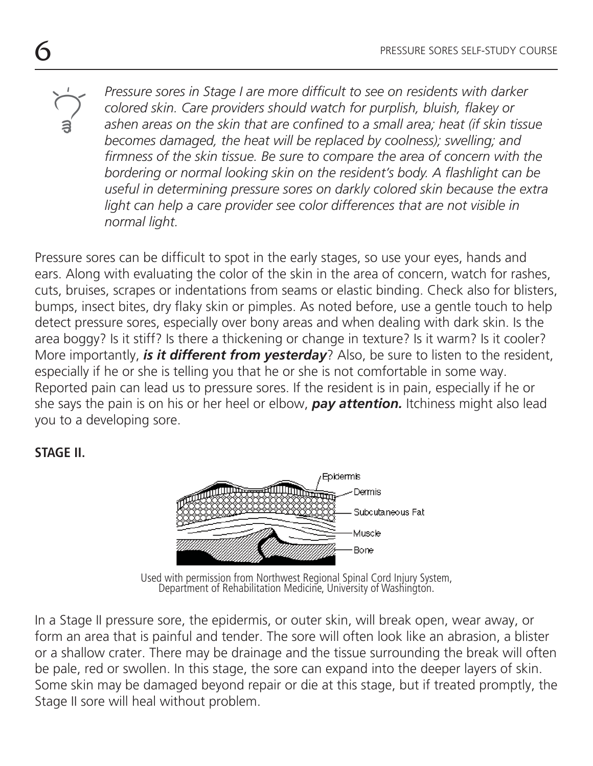*Pressure sores in Stage I are more difficult to see on residents with darker colored skin. Care providers should watch for purplish, bluish, flakey or* ashen areas on the skin that are confined to a small area; heat (if skin tissue *becomes damaged, the heat will be replaced by coolness); swelling; and*  firmness of the skin tissue. Be sure to compare the area of concern with the bordering or normal looking skin on the resident's body. A flashlight can be *useful in determining pressure sores on darkly colored skin because the extra*  light can help a care provider see color differences that are not visible in *normal light.* 

Pressure sores can be difficult to spot in the early stages, so use your eyes, hands and ears. Along with evaluating the color of the skin in the area of concern, watch for rashes, cuts, bruises, scrapes or indentations from seams or elastic binding. Check also for blisters, bumps, insect bites, dry flaky skin or pimples. As noted before, use a gentle touch to help detect pressure sores, especially over bony areas and when dealing with dark skin. Is the area boggy? Is it stiff? Is there a thickening or change in texture? Is it warm? Is it cooler? More importantly, *is it different from yesterday*? Also, be sure to listen to the resident, especially if he or she is telling you that he or she is not comfortable in some way. Reported pain can lead us to pressure sores. If the resident is in pain, especially if he or she says the pain is on his or her heel or elbow, *pay attention.* Itchiness might also lead you to a developing sore.

#### **STAGE II.**



Used with permission from Northwest Regional Spinal Cord Injury System, Department of Rehabilitation Medicine, University of Washington.

In a Stage II pressure sore, the epidermis, or outer skin, will break open, wear away, or form an area that is painful and tender. The sore will often look like an abrasion, a blister or a shallow crater. There may be drainage and the tissue surrounding the break will often be pale, red or swollen. In this stage, the sore can expand into the deeper layers of skin. Some skin may be damaged beyond repair or die at this stage, but if treated promptly, the Stage II sore will heal without problem.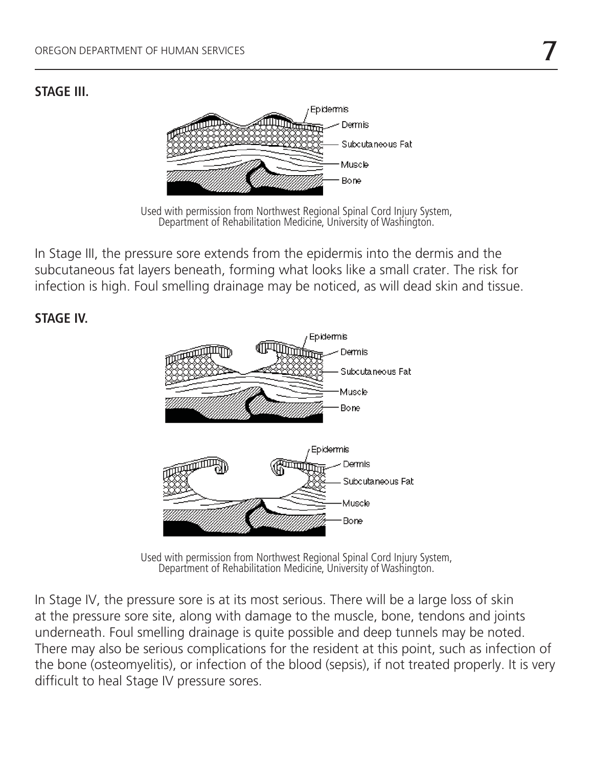#### **STAGE III.**



Used with permission from Northwest Regional Spinal Cord Injury System, Department of Rehabilitation Medicine, University of Washington.

In Stage III, the pressure sore extends from the epidermis into the dermis and the subcutaneous fat layers beneath, forming what looks like a small crater. The risk for infection is high. Foul smelling drainage may be noticed, as will dead skin and tissue.

#### **STAGE IV.**



Used with permission from Northwest Regional Spinal Cord Injury System, Department of Rehabilitation Medicine, University of Washington.

In Stage IV, the pressure sore is at its most serious. There will be a large loss of skin at the pressure sore site, along with damage to the muscle, bone, tendons and joints underneath. Foul smelling drainage is quite possible and deep tunnels may be noted. There may also be serious complications for the resident at this point, such as infection of the bone (osteomyelitis), or infection of the blood (sepsis), if not treated properly. It is very difficult to heal Stage IV pressure sores.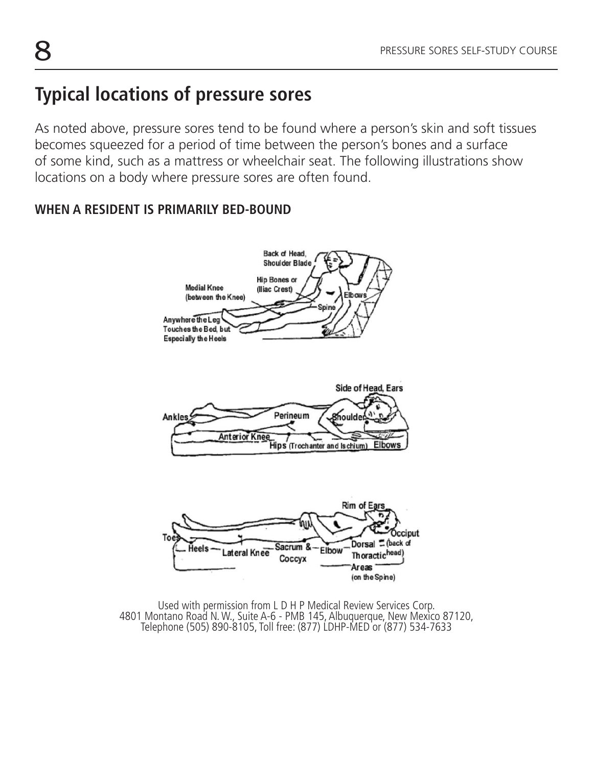## **Typical locations of pressure sores**

As noted above, pressure sores tend to be found where a person's skin and soft tissues becomes squeezed for a period of time between the person's bones and a surface of some kind, such as a mattress or wheelchair seat. The following illustrations show locations on a body where pressure sores are often found.

#### **WHEN A RESIDENT IS PRIMARILY BED-BOUND**



Used with permission from L D H P Medical Review Services Corp. 4801 Montano Road N. W., Suite A-6 - PMB 145, Albuquerque, New Mexico 87120, Telephone (505) 890-8105, Toll free: (877) LDHP-MED or (877) 534-7633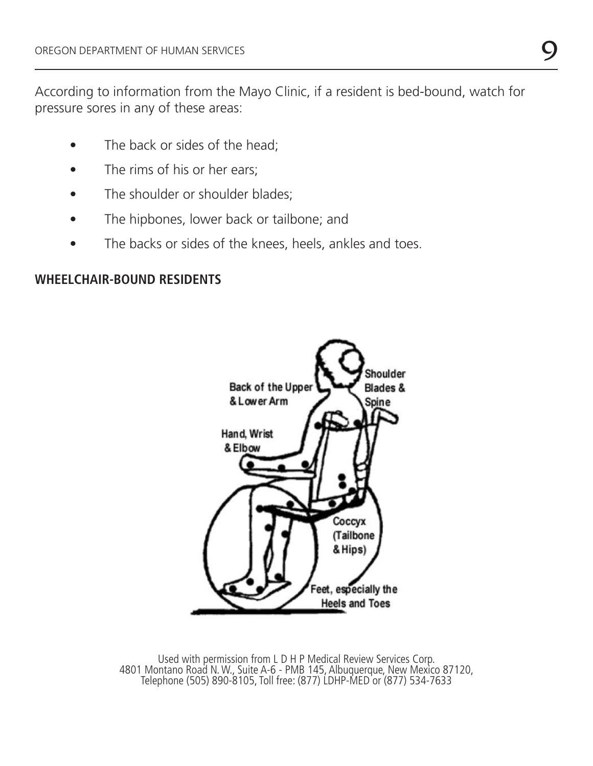According to information from the Mayo Clinic, if a resident is bed-bound, watch for pressure sores in any of these areas:

- The back or sides of the head;
- The rims of his or her ears;
- The shoulder or shoulder blades;
- The hipbones, lower back or tailbone; and
- The backs or sides of the knees, heels, ankles and toes.

#### **WHEELCHAIR-BOUND RESIDENTS**



Used with permission from L D H P Medical Review Services Corp. 4801 Montano Road N. W., Suite A-6 - PMB 145, Albuquerque, New Mexico 87120, Telephone (505) 890-8105, Toll free: (877) LDHP-MED or (877) 534-7633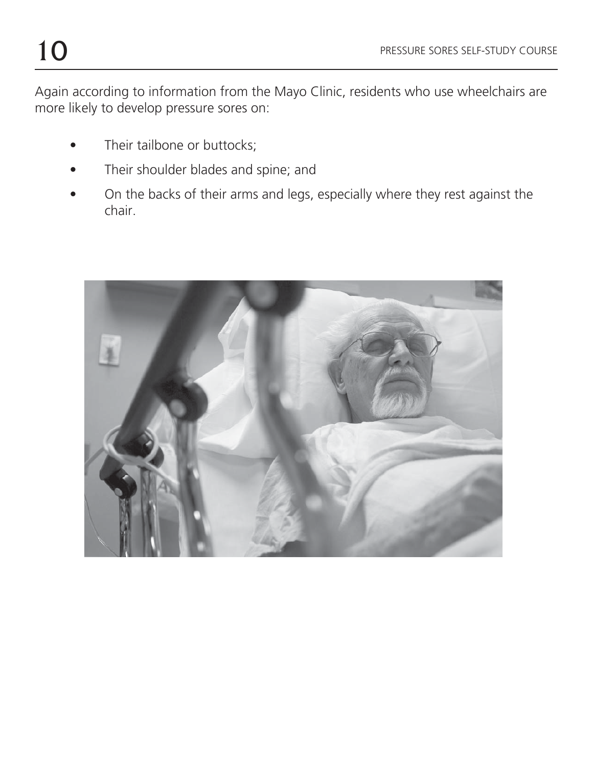Again according to information from the Mayo Clinic, residents who use wheelchairs are more likely to develop pressure sores on:

- Their tailbone or buttocks;
- Their shoulder blades and spine; and
- On the backs of their arms and legs, especially where they rest against the chair.

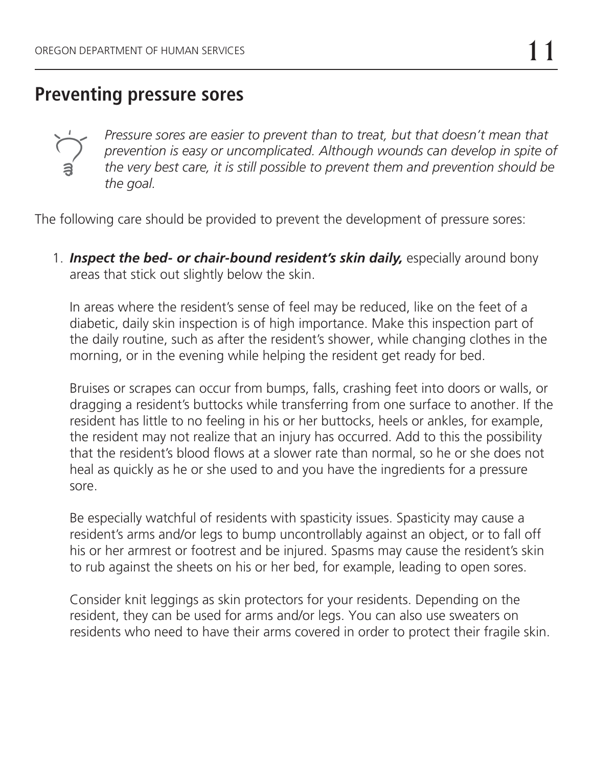### **Preventing pressure sores**



*Pressure sores are easier to prevent than to treat, but that doesn't mean that prevention is easy or uncomplicated. Although wounds can develop in spite of the very best care, it is still possible to prevent them and prevention should be the goal.*

The following care should be provided to prevent the development of pressure sores:

1. **Inspect the bed- or chair-bound resident's skin daily,** especially around bony areas that stick out slightly below the skin.

In areas where the resident's sense of feel may be reduced, like on the feet of a diabetic, daily skin inspection is of high importance. Make this inspection part of the daily routine, such as after the resident's shower, while changing clothes in the morning, or in the evening while helping the resident get ready for bed.

Bruises or scrapes can occur from bumps, falls, crashing feet into doors or walls, or dragging a resident's buttocks while transferring from one surface to another. If the resident has little to no feeling in his or her buttocks, heels or ankles, for example, the resident may not realize that an injury has occurred. Add to this the possibility that the resident's blood flows at a slower rate than normal, so he or she does not heal as quickly as he or she used to and you have the ingredients for a pressure sore.

Be especially watchful of residents with spasticity issues. Spasticity may cause a resident's arms and/or legs to bump uncontrollably against an object, or to fall off his or her armrest or footrest and be injured. Spasms may cause the resident's skin to rub against the sheets on his or her bed, for example, leading to open sores.

Consider knit leggings as skin protectors for your residents. Depending on the resident, they can be used for arms and/or legs. You can also use sweaters on residents who need to have their arms covered in order to protect their fragile skin.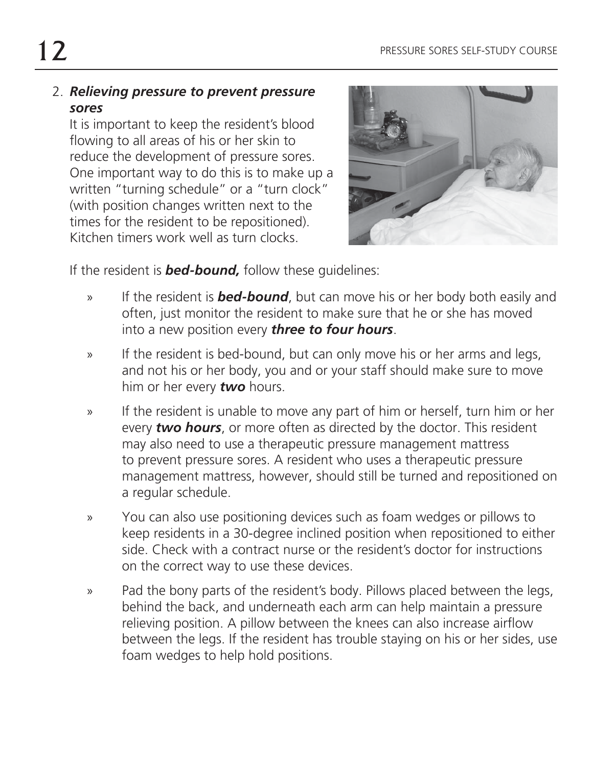#### 2. *Relieving pressure to prevent pressure sores*

It is important to keep the resident's blood flowing to all areas of his or her skin to reduce the development of pressure sores. One important way to do this is to make up a written "turning schedule" or a "turn clock" (with position changes written next to the times for the resident to be repositioned). Kitchen timers work well as turn clocks.



If the resident is *bed-bound,* follow these guidelines:

- » If the resident is *bed-bound*, but can move his or her body both easily and often, just monitor the resident to make sure that he or she has moved into a new position every *three to four hours*.
- » If the resident is bed-bound, but can only move his or her arms and legs, and not his or her body, you and or your staff should make sure to move him or her every *two* hours.
- » If the resident is unable to move any part of him or herself, turn him or her every *two hours*, or more often as directed by the doctor. This resident may also need to use a therapeutic pressure management mattress to prevent pressure sores. A resident who uses a therapeutic pressure management mattress, however, should still be turned and repositioned on a regular schedule.
- » You can also use positioning devices such as foam wedges or pillows to keep residents in a 30-degree inclined position when repositioned to either side. Check with a contract nurse or the resident's doctor for instructions on the correct way to use these devices.
- » Pad the bony parts of the resident's body. Pillows placed between the legs, behind the back, and underneath each arm can help maintain a pressure relieving position. A pillow between the knees can also increase airflow between the legs. If the resident has trouble staying on his or her sides, use foam wedges to help hold positions.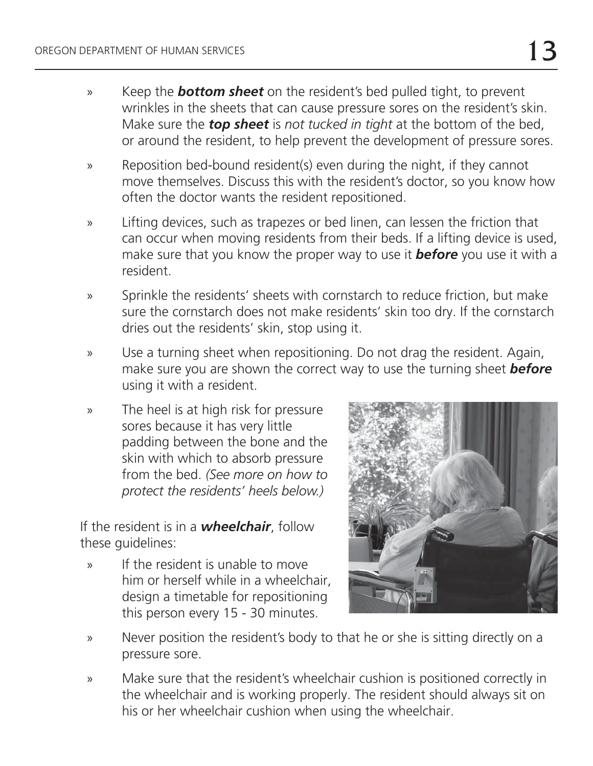- » Keep the *bottom sheet* on the resident's bed pulled tight, to prevent wrinkles in the sheets that can cause pressure sores on the resident's skin. Make sure the *top sheet* is *not tucked in tight* at the bottom of the bed, or around the resident, to help prevent the development of pressure sores.
- » Reposition bed-bound resident(s) even during the night, if they cannot move themselves. Discuss this with the resident's doctor, so you know how often the doctor wants the resident repositioned.
- » Lifting devices, such as trapezes or bed linen, can lessen the friction that can occur when moving residents from their beds. If a lifting device is used, make sure that you know the proper way to use it *before* you use it with a resident.
- » Sprinkle the residents' sheets with cornstarch to reduce friction, but make sure the cornstarch does not make residents' skin too dry. If the cornstarch dries out the residents' skin, stop using it.
- » Use a turning sheet when repositioning. Do not drag the resident. Again, make sure you are shown the correct way to use the turning sheet *before* using it with a resident.
- » The heel is at high risk for pressure sores because it has very little padding between the bone and the skin with which to absorb pressure from the bed. *(See more on how to protect the residents' heels below.)*

If the resident is in a *wheelchair*, follow these guidelines:

» If the resident is unable to move him or herself while in a wheelchair, design a timetable for repositioning this person every 15 - 30 minutes.



- » Never position the resident's body to that he or she is sitting directly on a pressure sore.
- » Make sure that the resident's wheelchair cushion is positioned correctly in the wheelchair and is working properly. The resident should always sit on his or her wheelchair cushion when using the wheelchair.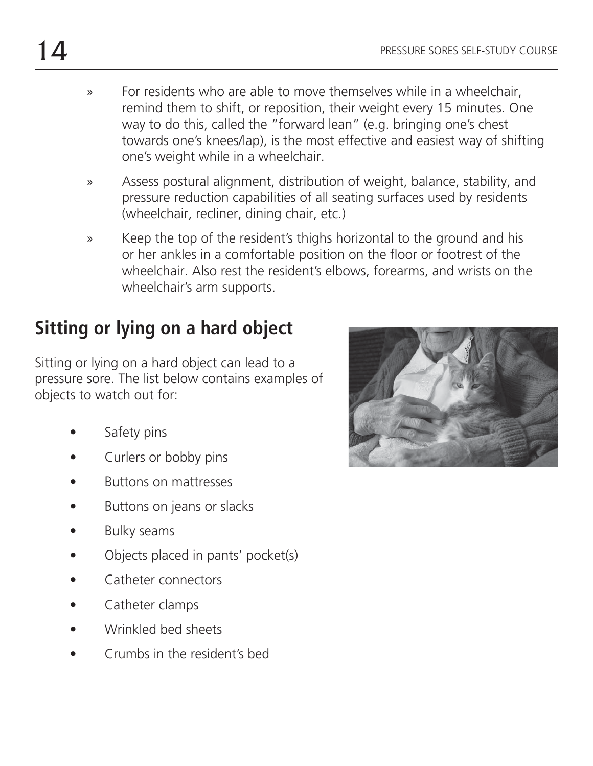- » For residents who are able to move themselves while in a wheelchair, remind them to shift, or reposition, their weight every 15 minutes. One way to do this, called the "forward lean" (e.g. bringing one's chest towards one's knees/lap), is the most effective and easiest way of shifting one's weight while in a wheelchair.
- » Assess postural alignment, distribution of weight, balance, stability, and pressure reduction capabilities of all seating surfaces used by residents (wheelchair, recliner, dining chair, etc.)
- » Keep the top of the resident's thighs horizontal to the ground and his or her ankles in a comfortable position on the floor or footrest of the wheelchair. Also rest the resident's elbows, forearms, and wrists on the wheelchair's arm supports.

# **Sitting or lying on a hard object**

Sitting or lying on a hard object can lead to a pressure sore. The list below contains examples of objects to watch out for:

- Safety pins
- Curlers or bobby pins
- Buttons on mattresses
- Buttons on jeans or slacks
- Bulky seams
- Objects placed in pants' pocket(s)
- Catheter connectors
- Catheter clamps
- Wrinkled bed sheets
- Crumbs in the resident's bed

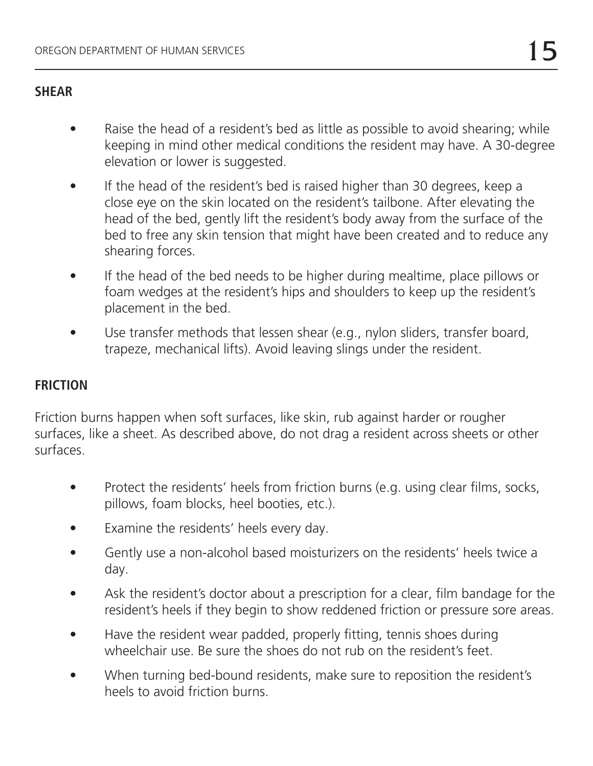#### **SHEAR**

- Raise the head of a resident's bed as little as possible to avoid shearing; while keeping in mind other medical conditions the resident may have. A 30-degree elevation or lower is suggested.
- If the head of the resident's bed is raised higher than 30 degrees, keep a close eye on the skin located on the resident's tailbone. After elevating the head of the bed, gently lift the resident's body away from the surface of the bed to free any skin tension that might have been created and to reduce any shearing forces.
- If the head of the bed needs to be higher during mealtime, place pillows or foam wedges at the resident's hips and shoulders to keep up the resident's placement in the bed.
- Use transfer methods that lessen shear (e.g., nylon sliders, transfer board, trapeze, mechanical lifts). Avoid leaving slings under the resident.

#### **FRICTION**

Friction burns happen when soft surfaces, like skin, rub against harder or rougher surfaces, like a sheet. As described above, do not drag a resident across sheets or other surfaces.

- Protect the residents' heels from friction burns (e.g. using clear films, socks, pillows, foam blocks, heel booties, etc.).
- Examine the residents' heels every day.
- Gently use a non-alcohol based moisturizers on the residents' heels twice a day.
- Ask the resident's doctor about a prescription for a clear, film bandage for the resident's heels if they begin to show reddened friction or pressure sore areas.
- Have the resident wear padded, properly fitting, tennis shoes during wheelchair use. Be sure the shoes do not rub on the resident's feet.
- When turning bed-bound residents, make sure to reposition the resident's heels to avoid friction burns.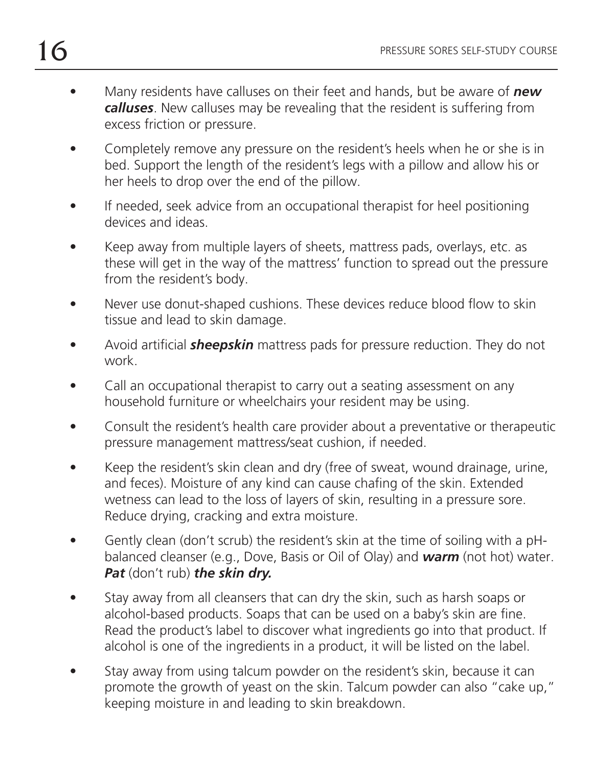- Many residents have calluses on their feet and hands, but be aware of *new calluses*. New calluses may be revealing that the resident is suffering from excess friction or pressure.
- Completely remove any pressure on the resident's heels when he or she is in bed. Support the length of the resident's legs with a pillow and allow his or her heels to drop over the end of the pillow.
- If needed, seek advice from an occupational therapist for heel positioning devices and ideas.
- Keep away from multiple layers of sheets, mattress pads, overlays, etc. as these will get in the way of the mattress' function to spread out the pressure from the resident's body.
- Never use donut-shaped cushions. These devices reduce blood flow to skin tissue and lead to skin damage.
- Avoid artificial **sheepskin** mattress pads for pressure reduction. They do not work.
- Call an occupational therapist to carry out a seating assessment on any household furniture or wheelchairs your resident may be using.
- Consult the resident's health care provider about a preventative or therapeutic pressure management mattress/seat cushion, if needed.
- Keep the resident's skin clean and dry (free of sweat, wound drainage, urine, and feces). Moisture of any kind can cause chafing of the skin. Extended wetness can lead to the loss of layers of skin, resulting in a pressure sore. Reduce drying, cracking and extra moisture.
- Gently clean (don't scrub) the resident's skin at the time of soiling with a pHbalanced cleanser (e.g., Dove, Basis or Oil of Olay) and *warm* (not hot) water. *Pat* (don't rub) *the skin dry.*
- Stay away from all cleansers that can dry the skin, such as harsh soaps or alcohol-based products. Soaps that can be used on a baby's skin are fine. Read the product's label to discover what ingredients go into that product. If alcohol is one of the ingredients in a product, it will be listed on the label.
- Stay away from using talcum powder on the resident's skin, because it can promote the growth of yeast on the skin. Talcum powder can also "cake up," keeping moisture in and leading to skin breakdown.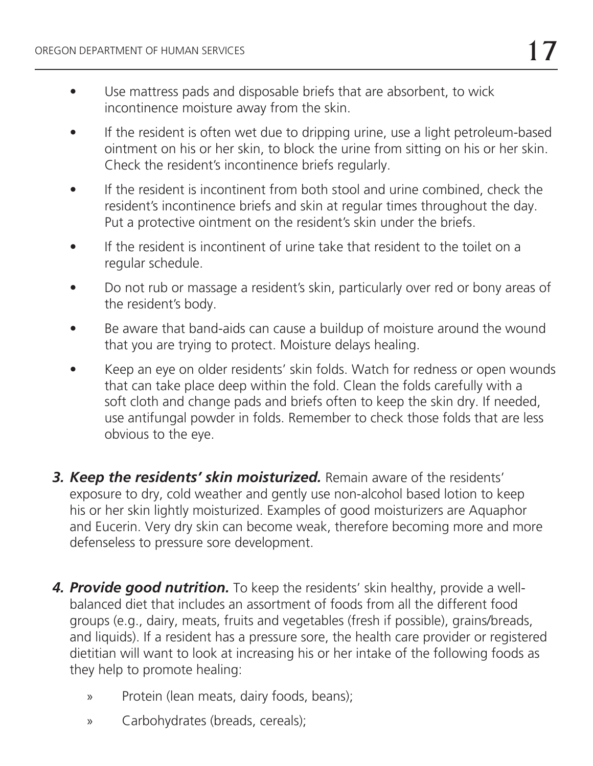- Use mattress pads and disposable briefs that are absorbent, to wick incontinence moisture away from the skin.
- If the resident is often wet due to dripping urine, use a light petroleum-based ointment on his or her skin, to block the urine from sitting on his or her skin. Check the resident's incontinence briefs regularly.
- If the resident is incontinent from both stool and urine combined, check the resident's incontinence briefs and skin at regular times throughout the day. Put a protective ointment on the resident's skin under the briefs.
- If the resident is incontinent of urine take that resident to the toilet on a regular schedule.
- Do not rub or massage a resident's skin, particularly over red or bony areas of the resident's body.
- Be aware that band-aids can cause a buildup of moisture around the wound that you are trying to protect. Moisture delays healing.
- Keep an eye on older residents' skin folds. Watch for redness or open wounds that can take place deep within the fold. Clean the folds carefully with a soft cloth and change pads and briefs often to keep the skin dry. If needed, use antifungal powder in folds. Remember to check those folds that are less obvious to the eye.
- *3. Keep the residents' skin moisturized.* Remain aware of the residents' exposure to dry, cold weather and gently use non-alcohol based lotion to keep his or her skin lightly moisturized. Examples of good moisturizers are Aquaphor and Eucerin. Very dry skin can become weak, therefore becoming more and more defenseless to pressure sore development.
- **4. Provide good nutrition.** To keep the residents' skin healthy, provide a wellbalanced diet that includes an assortment of foods from all the different food groups (e.g., dairy, meats, fruits and vegetables (fresh if possible), grains/breads, and liquids). If a resident has a pressure sore, the health care provider or registered dietitian will want to look at increasing his or her intake of the following foods as they help to promote healing:
	- » Protein (lean meats, dairy foods, beans);
	- » Carbohydrates (breads, cereals);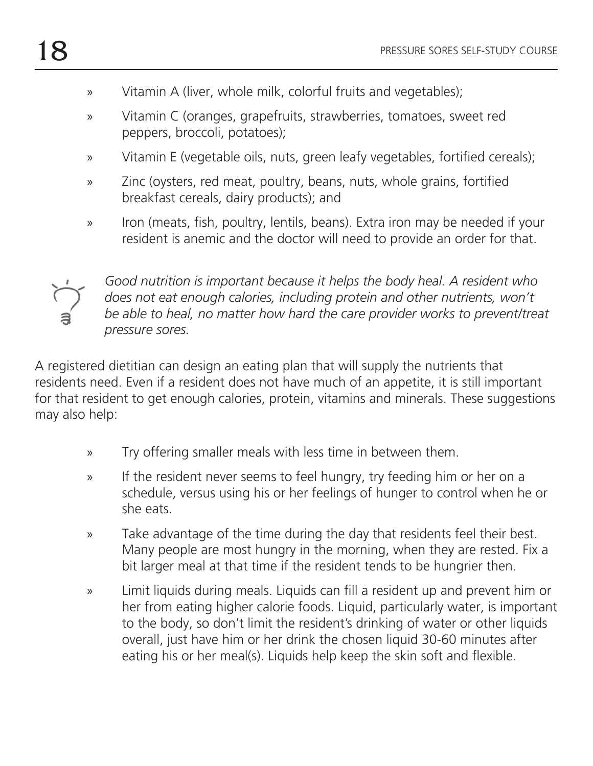- » Vitamin A (liver, whole milk, colorful fruits and vegetables);
- » Vitamin C (oranges, grapefruits, strawberries, tomatoes, sweet red peppers, broccoli, potatoes);
- » Vitamin E (vegetable oils, nuts, green leafy vegetables, fortified cereals);
- » Zinc (oysters, red meat, poultry, beans, nuts, whole grains, fortified breakfast cereals, dairy products); and
- » Iron (meats, fish, poultry, lentils, beans). Extra iron may be needed if your resident is anemic and the doctor will need to provide an order for that.



*Good nutrition is important because it helps the body heal. A resident who does not eat enough calories, including protein and other nutrients, won't be able to heal, no matter how hard the care provider works to prevent/treat pressure sores.*

A registered dietitian can design an eating plan that will supply the nutrients that residents need. Even if a resident does not have much of an appetite, it is still important for that resident to get enough calories, protein, vitamins and minerals. These suggestions may also help:

- » Try offering smaller meals with less time in between them.
- » If the resident never seems to feel hungry, try feeding him or her on a schedule, versus using his or her feelings of hunger to control when he or she eats.
- » Take advantage of the time during the day that residents feel their best. Many people are most hungry in the morning, when they are rested. Fix a bit larger meal at that time if the resident tends to be hungrier then.
- » Limit liquids during meals. Liquids can fill a resident up and prevent him or her from eating higher calorie foods. Liquid, particularly water, is important to the body, so don't limit the resident's drinking of water or other liquids overall, just have him or her drink the chosen liquid 30-60 minutes after eating his or her meal(s). Liquids help keep the skin soft and flexible.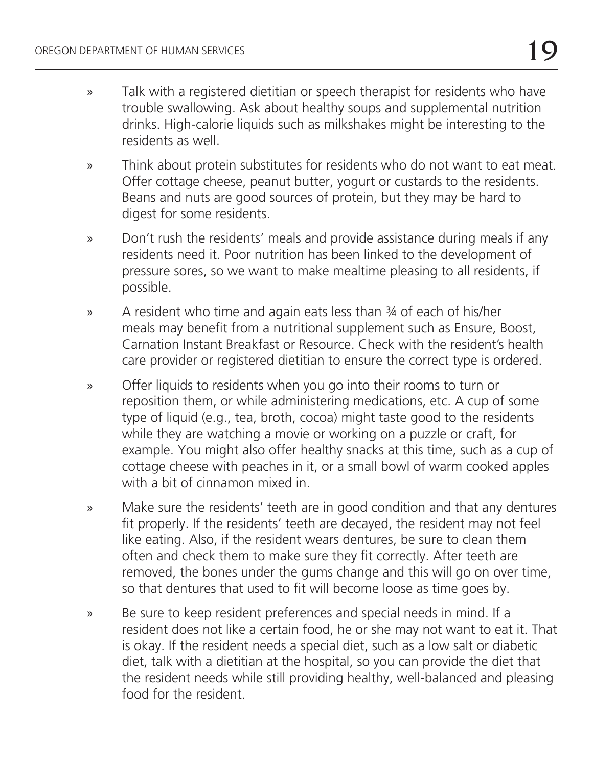- » Talk with a registered dietitian or speech therapist for residents who have trouble swallowing. Ask about healthy soups and supplemental nutrition drinks. High-calorie liquids such as milkshakes might be interesting to the residents as well.
- » Think about protein substitutes for residents who do not want to eat meat. Offer cottage cheese, peanut butter, yogurt or custards to the residents. Beans and nuts are good sources of protein, but they may be hard to digest for some residents.
- » Don't rush the residents' meals and provide assistance during meals if any residents need it. Poor nutrition has been linked to the development of pressure sores, so we want to make mealtime pleasing to all residents, if possible.
- » A resident who time and again eats less than ¾ of each of his/her meals may benefit from a nutritional supplement such as Ensure, Boost, Carnation Instant Breakfast or Resource. Check with the resident's health care provider or registered dietitian to ensure the correct type is ordered.
- » Offer liquids to residents when you go into their rooms to turn or reposition them, or while administering medications, etc. A cup of some type of liquid (e.g., tea, broth, cocoa) might taste good to the residents while they are watching a movie or working on a puzzle or craft, for example. You might also offer healthy snacks at this time, such as a cup of cottage cheese with peaches in it, or a small bowl of warm cooked apples with a bit of cinnamon mixed in.
- » Make sure the residents' teeth are in good condition and that any dentures fit properly. If the residents' teeth are decayed, the resident may not feel like eating. Also, if the resident wears dentures, be sure to clean them often and check them to make sure they fit correctly. After teeth are removed, the bones under the gums change and this will go on over time, so that dentures that used to fit will become loose as time goes by.
- » Be sure to keep resident preferences and special needs in mind. If a resident does not like a certain food, he or she may not want to eat it. That is okay. If the resident needs a special diet, such as a low salt or diabetic diet, talk with a dietitian at the hospital, so you can provide the diet that the resident needs while still providing healthy, well-balanced and pleasing food for the resident.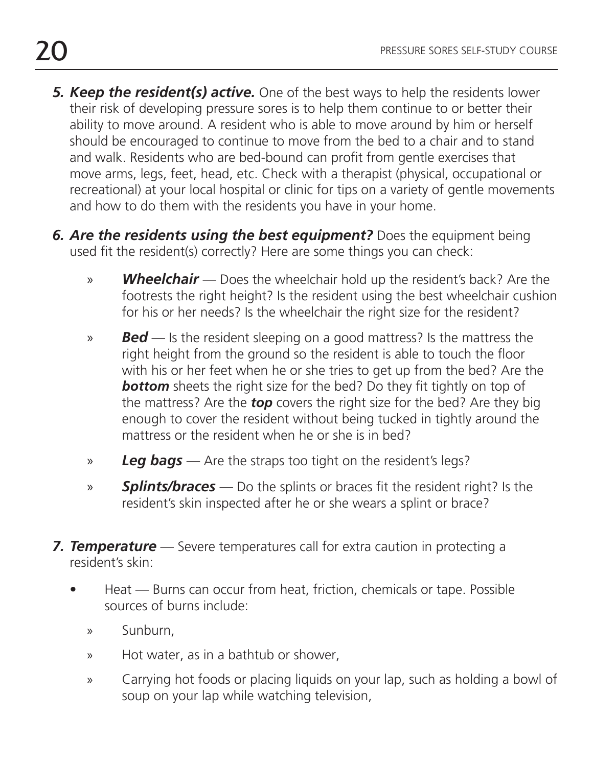- **5. Keep the resident(s) active.** One of the best ways to help the residents lower their risk of developing pressure sores is to help them continue to or better their ability to move around. A resident who is able to move around by him or herself should be encouraged to continue to move from the bed to a chair and to stand and walk. Residents who are bed-bound can profit from gentle exercises that move arms, legs, feet, head, etc. Check with a therapist (physical, occupational or recreational) at your local hospital or clinic for tips on a variety of gentle movements and how to do them with the residents you have in your home.
- *6. Are the residents using the best equipment?* Does the equipment being used fit the resident(s) correctly? Here are some things you can check:
	- » *Wheelchair*  Does the wheelchair hold up the resident's back? Are the footrests the right height? Is the resident using the best wheelchair cushion for his or her needs? Is the wheelchair the right size for the resident?
	- » *Bed* Is the resident sleeping on a good mattress? Is the mattress the right height from the ground so the resident is able to touch the floor with his or her feet when he or she tries to get up from the bed? Are the **bottom** sheets the right size for the bed? Do they fit tightly on top of the mattress? Are the *top* covers the right size for the bed? Are they big enough to cover the resident without being tucked in tightly around the mattress or the resident when he or she is in bed?
	- » *Leg bags*  Are the straps too tight on the resident's legs?
	- » **Splints/braces** Do the splints or braces fit the resident right? Is the resident's skin inspected after he or she wears a splint or brace?
- *7. Temperature* Severe temperatures call for extra caution in protecting a resident's skin:
	- Heat Burns can occur from heat, friction, chemicals or tape. Possible sources of burns include:
		- » Sunburn,
		- » Hot water, as in a bathtub or shower,
		- » Carrying hot foods or placing liquids on your lap, such as holding a bowl of soup on your lap while watching television,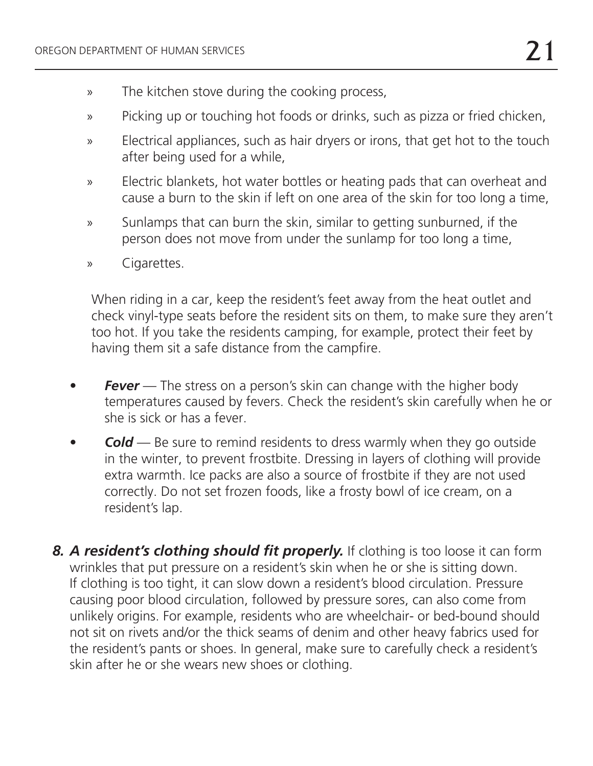- » The kitchen stove during the cooking process,
- » Picking up or touching hot foods or drinks, such as pizza or fried chicken,
- » Electrical appliances, such as hair dryers or irons, that get hot to the touch after being used for a while,
- » Electric blankets, hot water bottles or heating pads that can overheat and cause a burn to the skin if left on one area of the skin for too long a time,
- » Sunlamps that can burn the skin, similar to getting sunburned, if the person does not move from under the sunlamp for too long a time,
- » Cigarettes.

When riding in a car, keep the resident's feet away from the heat outlet and check vinyl-type seats before the resident sits on them, to make sure they aren't too hot. If you take the residents camping, for example, protect their feet by having them sit a safe distance from the campfire.

- **Fever** The stress on a person's skin can change with the higher body temperatures caused by fevers. Check the resident's skin carefully when he or she is sick or has a fever.
- **Cold** Be sure to remind residents to dress warmly when they go outside in the winter, to prevent frostbite. Dressing in layers of clothing will provide extra warmth. Ice packs are also a source of frostbite if they are not used correctly. Do not set frozen foods, like a frosty bowl of ice cream, on a resident's lap.
- 8. A resident's clothing should fit properly. If clothing is too loose it can form wrinkles that put pressure on a resident's skin when he or she is sitting down. If clothing is too tight, it can slow down a resident's blood circulation. Pressure causing poor blood circulation, followed by pressure sores, can also come from unlikely origins. For example, residents who are wheelchair- or bed-bound should not sit on rivets and/or the thick seams of denim and other heavy fabrics used for the resident's pants or shoes. In general, make sure to carefully check a resident's skin after he or she wears new shoes or clothing.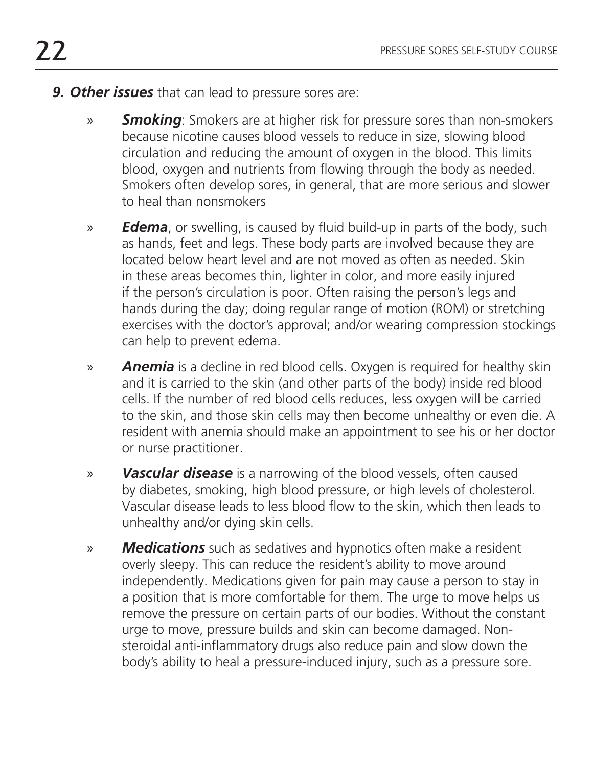- *9. Other issues* that can lead to pressure sores are:
	- » *Smoking*: Smokers are at higher risk for pressure sores than non-smokers because nicotine causes blood vessels to reduce in size, slowing blood circulation and reducing the amount of oxygen in the blood. This limits blood, oxygen and nutrients from flowing through the body as needed. Smokers often develop sores, in general, that are more serious and slower to heal than nonsmokers
	- » *Edema*, or swelling, is caused by fluid build-up in parts of the body, such as hands, feet and legs. These body parts are involved because they are located below heart level and are not moved as often as needed. Skin in these areas becomes thin, lighter in color, and more easily injured if the person's circulation is poor. Often raising the person's legs and hands during the day; doing regular range of motion (ROM) or stretching exercises with the doctor's approval; and/or wearing compression stockings can help to prevent edema.
	- » *Anemia* is a decline in red blood cells. Oxygen is required for healthy skin and it is carried to the skin (and other parts of the body) inside red blood cells. If the number of red blood cells reduces, less oxygen will be carried to the skin, and those skin cells may then become unhealthy or even die. A resident with anemia should make an appointment to see his or her doctor or nurse practitioner.
	- » *Vascular disease* is a narrowing of the blood vessels, often caused by diabetes, smoking, high blood pressure, or high levels of cholesterol. Vascular disease leads to less blood flow to the skin, which then leads to unhealthy and/or dying skin cells.
	- » *Medications* such as sedatives and hypnotics often make a resident overly sleepy. This can reduce the resident's ability to move around independently. Medications given for pain may cause a person to stay in a position that is more comfortable for them. The urge to move helps us remove the pressure on certain parts of our bodies. Without the constant urge to move, pressure builds and skin can become damaged. Nonsteroidal anti-inflammatory drugs also reduce pain and slow down the body's ability to heal a pressure-induced injury, such as a pressure sore.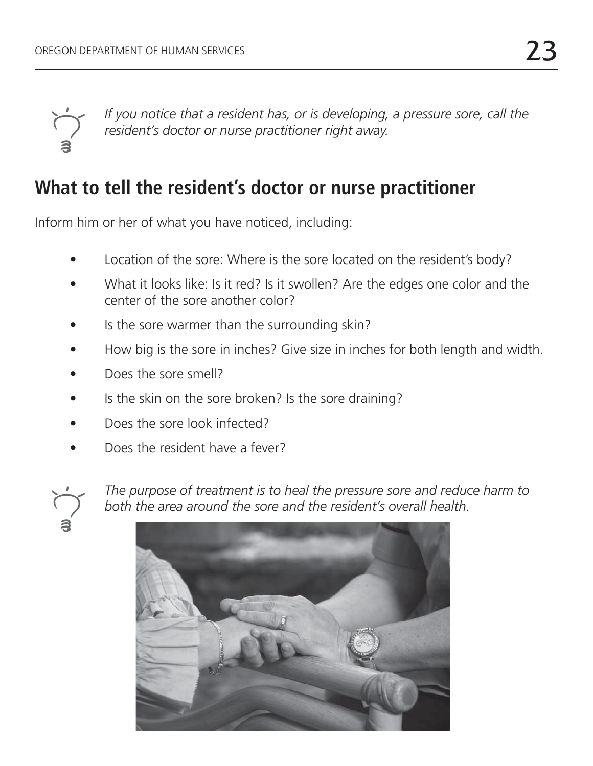

*If you notice that a resident has, or is developing, a pressure sore, call the resident's doctor or nurse practitioner right away.*

## **What to tell the resident's doctor or nurse practitioner**

Inform him or her of what you have noticed, including:

- Location of the sore: Where is the sore located on the resident's body?
- What it looks like: Is it red? Is it swollen? Are the edges one color and the center of the sore another color?
- Is the sore warmer than the surrounding skin?
- How big is the sore in inches? Give size in inches for both length and width.
- Does the sore smell?
- Is the skin on the sore broken? Is the sore draining?
- Does the sore look infected?
- Does the resident have a fever?



*The purpose of treatment is to heal the pressure sore and reduce harm to both the area around the sore and the resident's overall health.*

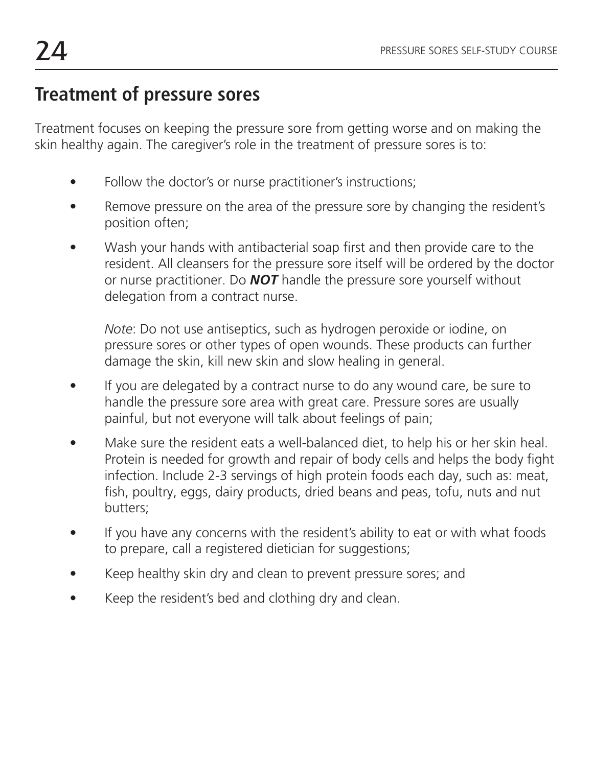## **Treatment of pressure sores**

Treatment focuses on keeping the pressure sore from getting worse and on making the skin healthy again. The caregiver's role in the treatment of pressure sores is to:

- Follow the doctor's or nurse practitioner's instructions;
- Remove pressure on the area of the pressure sore by changing the resident's position often;
- Wash your hands with antibacterial soap first and then provide care to the resident. All cleansers for the pressure sore itself will be ordered by the doctor or nurse practitioner. Do *NOT* handle the pressure sore yourself without delegation from a contract nurse.

*Note*: Do not use antiseptics, such as hydrogen peroxide or iodine, on pressure sores or other types of open wounds. These products can further damage the skin, kill new skin and slow healing in general.

- If you are delegated by a contract nurse to do any wound care, be sure to handle the pressure sore area with great care. Pressure sores are usually painful, but not everyone will talk about feelings of pain;
- Make sure the resident eats a well-balanced diet, to help his or her skin heal. Protein is needed for growth and repair of body cells and helps the body fight infection. Include 2-3 servings of high protein foods each day, such as: meat, fish, poultry, eggs, dairy products, dried beans and peas, tofu, nuts and nut butters;
- If you have any concerns with the resident's ability to eat or with what foods to prepare, call a registered dietician for suggestions;
- Keep healthy skin dry and clean to prevent pressure sores; and
- Keep the resident's bed and clothing dry and clean.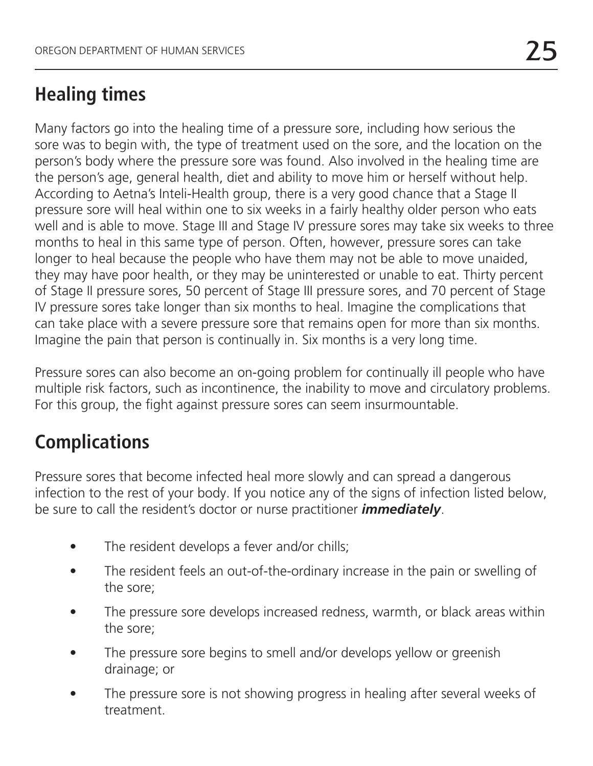## **Healing times**

Many factors go into the healing time of a pressure sore, including how serious the sore was to begin with, the type of treatment used on the sore, and the location on the person's body where the pressure sore was found. Also involved in the healing time are the person's age, general health, diet and ability to move him or herself without help. According to Aetna's Inteli-Health group, there is a very good chance that a Stage II pressure sore will heal within one to six weeks in a fairly healthy older person who eats well and is able to move. Stage III and Stage IV pressure sores may take six weeks to three months to heal in this same type of person. Often, however, pressure sores can take longer to heal because the people who have them may not be able to move unaided, they may have poor health, or they may be uninterested or unable to eat. Thirty percent of Stage II pressure sores, 50 percent of Stage III pressure sores, and 70 percent of Stage IV pressure sores take longer than six months to heal. Imagine the complications that can take place with a severe pressure sore that remains open for more than six months. Imagine the pain that person is continually in. Six months is a very long time.

Pressure sores can also become an on-going problem for continually ill people who have multiple risk factors, such as incontinence, the inability to move and circulatory problems. For this group, the fight against pressure sores can seem insurmountable.

# **Complications**

Pressure sores that become infected heal more slowly and can spread a dangerous infection to the rest of your body. If you notice any of the signs of infection listed below, be sure to call the resident's doctor or nurse practitioner *immediately*.

- The resident develops a fever and/or chills;
- The resident feels an out-of-the-ordinary increase in the pain or swelling of the sore;
- The pressure sore develops increased redness, warmth, or black areas within the sore;
- The pressure sore begins to smell and/or develops yellow or greenish drainage; or
- The pressure sore is not showing progress in healing after several weeks of treatment.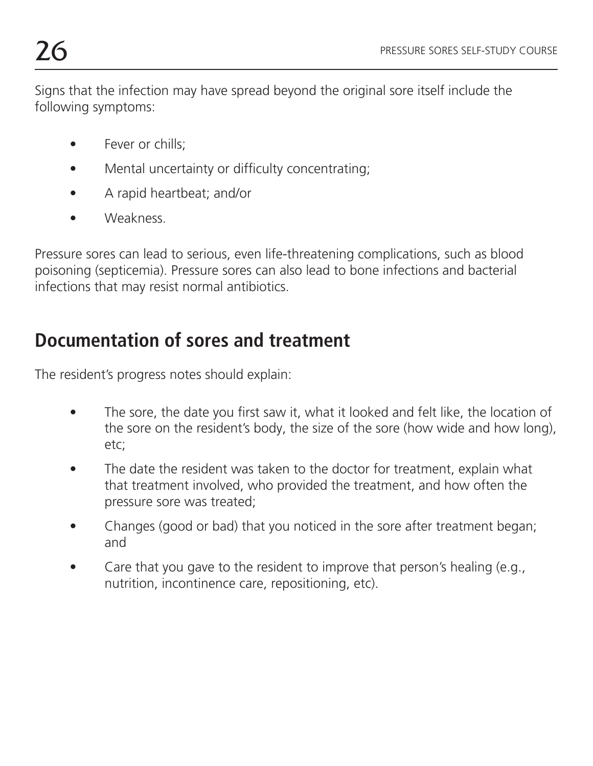Signs that the infection may have spread beyond the original sore itself include the following symptoms:

- Fever or chills;
- Mental uncertainty or difficulty concentrating;
- A rapid heartbeat; and/or
- Weakness.

Pressure sores can lead to serious, even life-threatening complications, such as blood poisoning (septicemia). Pressure sores can also lead to bone infections and bacterial infections that may resist normal antibiotics.

## **Documentation of sores and treatment**

The resident's progress notes should explain:

- The sore, the date you first saw it, what it looked and felt like, the location of the sore on the resident's body, the size of the sore (how wide and how long), etc;
- The date the resident was taken to the doctor for treatment, explain what that treatment involved, who provided the treatment, and how often the pressure sore was treated;
- Changes (good or bad) that you noticed in the sore after treatment began; and
- Care that you gave to the resident to improve that person's healing (e.g., nutrition, incontinence care, repositioning, etc).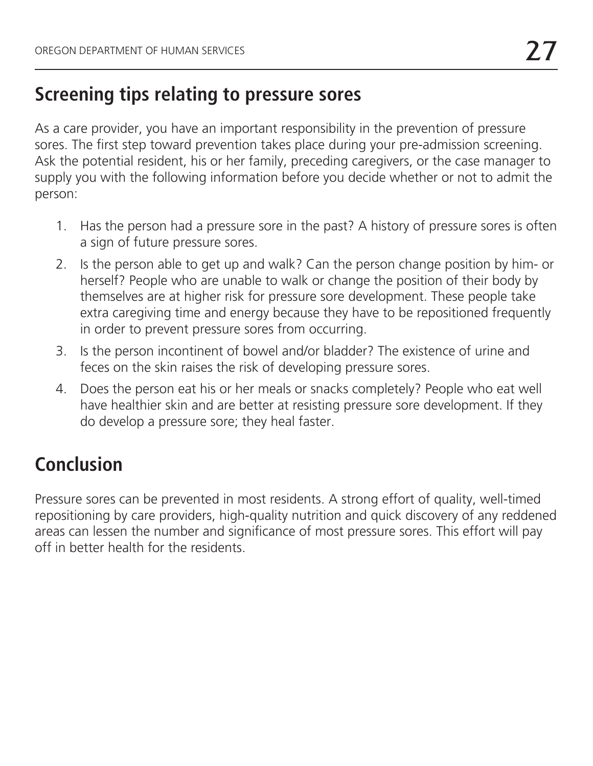### **Screening tips relating to pressure sores**

As a care provider, you have an important responsibility in the prevention of pressure sores. The first step toward prevention takes place during your pre-admission screening. Ask the potential resident, his or her family, preceding caregivers, or the case manager to supply you with the following information before you decide whether or not to admit the person:

- 1. Has the person had a pressure sore in the past? A history of pressure sores is often a sign of future pressure sores.
- 2. Is the person able to get up and walk? Can the person change position by him- or herself? People who are unable to walk or change the position of their body by themselves are at higher risk for pressure sore development. These people take extra caregiving time and energy because they have to be repositioned frequently in order to prevent pressure sores from occurring.
- 3. Is the person incontinent of bowel and/or bladder? The existence of urine and feces on the skin raises the risk of developing pressure sores.
- 4. Does the person eat his or her meals or snacks completely? People who eat well have healthier skin and are better at resisting pressure sore development. If they do develop a pressure sore; they heal faster.

# **Conclusion**

Pressure sores can be prevented in most residents. A strong effort of quality, well-timed repositioning by care providers, high-quality nutrition and quick discovery of any reddened areas can lessen the number and significance of most pressure sores. This effort will pay off in better health for the residents.